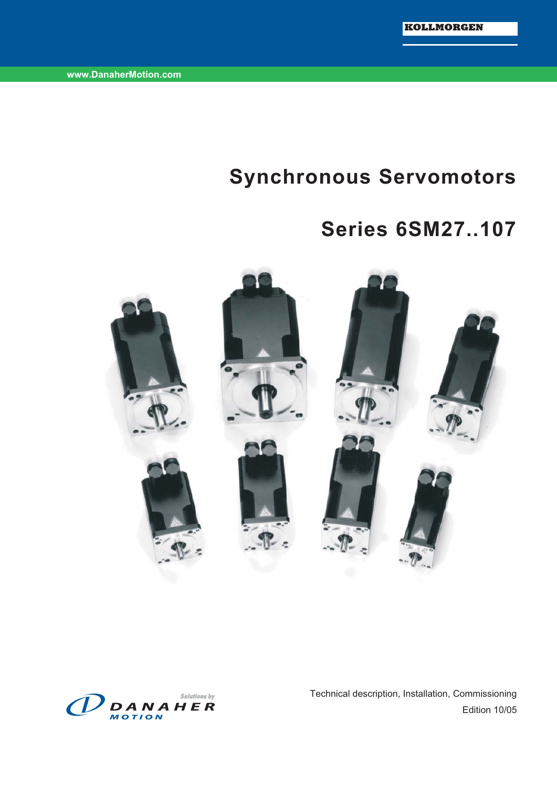# **Synchronous Servomotors**

## **Series 6SM27..107**





Technical description, Installation, Commissioning Edition 10/05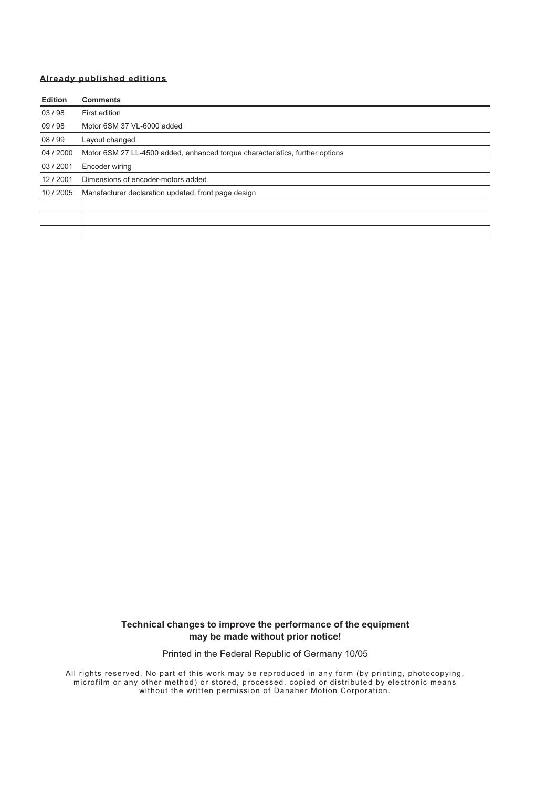#### **Already published editions**

| <b>Edition</b> | <b>Comments</b>                                                              |  |  |  |  |  |
|----------------|------------------------------------------------------------------------------|--|--|--|--|--|
| 03/98          | First edition                                                                |  |  |  |  |  |
| 09/98          | Motor 6SM 37 VL-6000 added                                                   |  |  |  |  |  |
| 08/99          | Layout changed                                                               |  |  |  |  |  |
| 04 / 2000      | Motor 6SM 27 LL-4500 added, enhanced torque characteristics, further options |  |  |  |  |  |
| 03/2001        | Encoder wiring                                                               |  |  |  |  |  |
| 12/2001        | Dimensions of encoder-motors added                                           |  |  |  |  |  |
| 10/2005        | Manafacturer declaration updated, front page design                          |  |  |  |  |  |
|                |                                                                              |  |  |  |  |  |
|                |                                                                              |  |  |  |  |  |
|                |                                                                              |  |  |  |  |  |

#### **Technical changes to improve the performance of the equipment may be made without prior notice!**

Printed in the Federal Republic of Germany 10/05

All rights reserved. No part of this work may be reproduced in any form (by printing, photocopying, microfilm or any other method) or stored, processed, copied or distributed by electronic means without the written permission of Danaher Motion Corporation.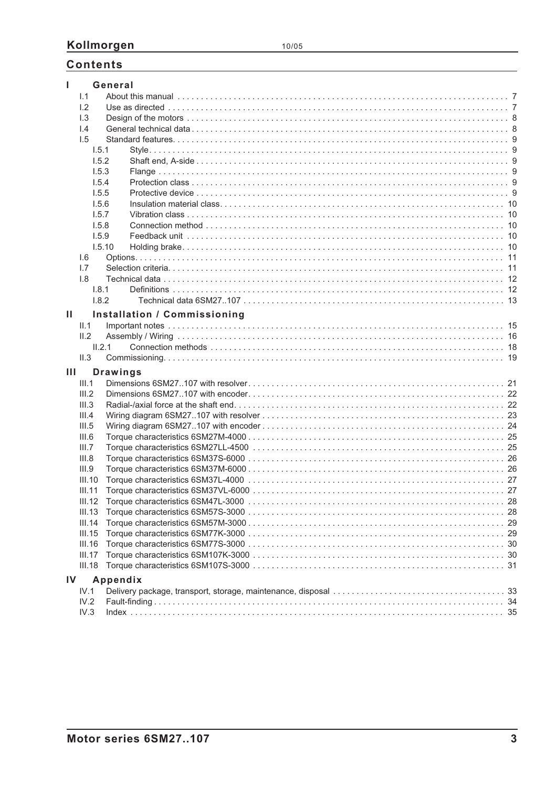### **Contents**

| L             |                         | General                      |  |
|---------------|-------------------------|------------------------------|--|
|               | 1.1                     |                              |  |
|               | 1.2                     |                              |  |
|               | 1.3                     |                              |  |
|               | $\mathsf{I}.\mathsf{4}$ |                              |  |
|               | 1.5                     |                              |  |
|               | 1.5.1                   |                              |  |
|               | 1.5.2                   |                              |  |
|               | 1.5.3                   |                              |  |
|               | 1.5.4                   |                              |  |
|               | 1.5.5                   |                              |  |
|               | 1.5.6                   |                              |  |
|               | 1.5.7                   |                              |  |
|               | 1.5.8                   |                              |  |
|               | 1.5.9                   |                              |  |
|               |                         | 1.5.10                       |  |
|               | 1.6                     |                              |  |
|               | 1.7                     |                              |  |
|               | 1.8                     |                              |  |
|               | 1.8.1                   |                              |  |
|               | 1.8.2                   |                              |  |
| Ш             |                         | Installation / Commissioning |  |
|               | II.1                    |                              |  |
|               | II.2                    |                              |  |
|               | II.2.1                  |                              |  |
|               | II.3                    |                              |  |
|               |                         |                              |  |
| Ш             |                         | <b>Drawings</b>              |  |
|               | III.1                   |                              |  |
|               | III.2                   |                              |  |
|               | III.3                   |                              |  |
|               | III.4                   |                              |  |
|               | III.5                   |                              |  |
|               | III.6                   |                              |  |
|               | III.7                   |                              |  |
|               | III.8                   |                              |  |
|               | III.9                   |                              |  |
|               | III.10                  |                              |  |
|               | III.11                  |                              |  |
|               |                         |                              |  |
|               | III.13                  |                              |  |
|               | III.14                  |                              |  |
|               | III.15                  |                              |  |
|               | III.16                  |                              |  |
|               | III.17                  |                              |  |
|               | III.18                  |                              |  |
| $\mathsf{IV}$ |                         | Appendix                     |  |
|               | IV.1                    |                              |  |
|               | IV.2                    |                              |  |
|               | IV.3                    |                              |  |
|               |                         |                              |  |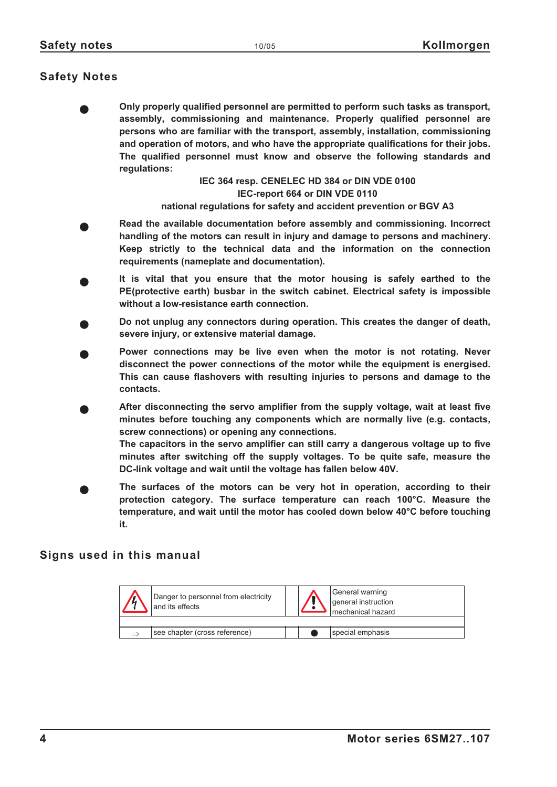### <span id="page-3-0"></span>**Safety Notes**

 $\bullet$  **Only properly qualified personnel are permitted to perform such tasks as transport, assembly, commissioning and maintenance. Properly qualified personnel are persons who are familiar with the transport, assembly, installation, commissioning and operation of motors, and who have the appropriate qualifications for their jobs. The qualified personnel must know and observe the following standards and regulations:**

#### **IEC 364 resp. CENELEC HD 384 or DIN VDE 0100 IEC-report 664 or DIN VDE 0110**

**national regulations for safety and accident prevention or BGV A3**

- $\bullet$  **Read the available documentation before assembly and commissioning. Incorrect handling of the motors can result in injury and damage to persons and machinery. Keep strictly to the technical data and the information on the connection requirements (nameplate and documentation).**
- $\bullet$  **It is vital that you ensure that the motor housing is safely earthed to the PE(protective earth) busbar in the switch cabinet. Electrical safety is impossible without a low-resistance earth connection.**
- $\bullet$  **Do not unplug any connectors during operation. This creates the danger of death, severe injury, or extensive material damage.**
- $\bullet$  **Power connections may be live even when the motor is not rotating. Never disconnect the power connections of the motor while the equipment is energised. This can cause flashovers with resulting injuries to persons and damage to the contacts.**
- $\bullet$  **After disconnecting the servo amplifier from the supply voltage, wait at least five minutes before touching any components which are normally live (e.g. contacts, screw connections) or opening any connections.**

**The capacitors in the servo amplifier can still carry a dangerous voltage up to five minutes after switching off the supply voltages. To be quite safe, measure the DC-link voltage and wait until the voltage has fallen below 40V.**

 $\bullet$  **The surfaces of the motors can be very hot in operation, according to their protection category. The surface temperature can reach 100°C. Measure the temperature, and wait until the motor has cooled down below 40°C before touching it.**

### **Signs used in this manual**

|  | Danger to personnel from electricity<br>and its effects |  | General warning<br>general instruction<br>mechanical hazard |
|--|---------------------------------------------------------|--|-------------------------------------------------------------|
|  | see chapter (cross reference)                           |  | special emphasis                                            |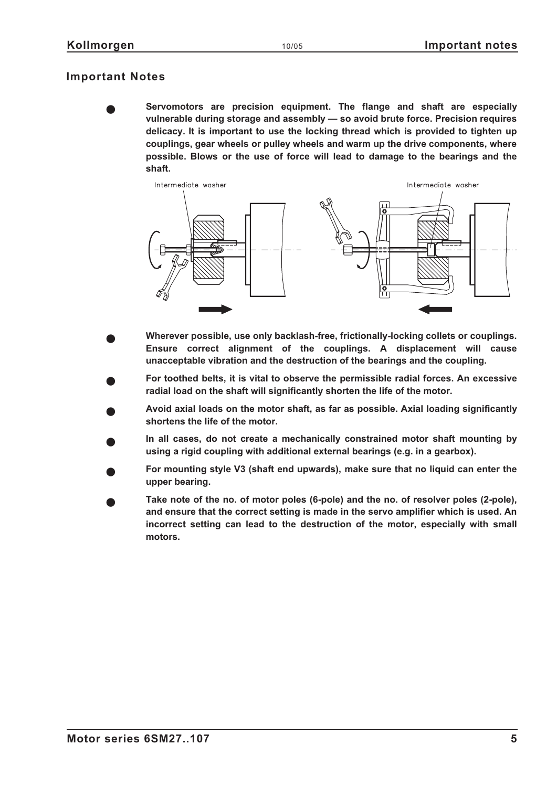### **Important Notes**

 $\bullet$  **Servomotors are precision equipment. The flange and shaft are especially vulnerable during storage and assembly — so avoid brute force. Precision requires delicacy. It is important to use the locking thread which is provided to tighten up couplings, gear wheels or pulley wheels and warm up the drive components, where possible. Blows or the use of force will lead to damage to the bearings and the shaft.**



- $\bullet$  **Wherever possible, use only backlash-free, frictionally-locking collets or couplings. Ensure correct alignment of the couplings. A displacement will cause unacceptable vibration and the destruction of the bearings and the coupling.**
- $\bullet$  **For toothed belts, it is vital to observe the permissible radial forces. An excessive radial load on the shaft will significantly shorten the life of the motor.**
- $\bullet$  **Avoid axial loads on the motor shaft, as far as possible. Axial loading significantly shortens the life of the motor.**
- $\bullet$  **In all cases, do not create a mechanically constrained motor shaft mounting by using a rigid coupling with additional external bearings (e.g. in a gearbox).**
- $\bullet$  **For mounting style V3 (shaft end upwards), make sure that no liquid can enter the upper bearing.**
- $\bullet$  **Take note of the no. of motor poles (6-pole) and the no. of resolver poles (2-pole), and ensure that the correct setting is made in the servo amplifier which is used. An incorrect setting can lead to the destruction of the motor, especially with small motors.**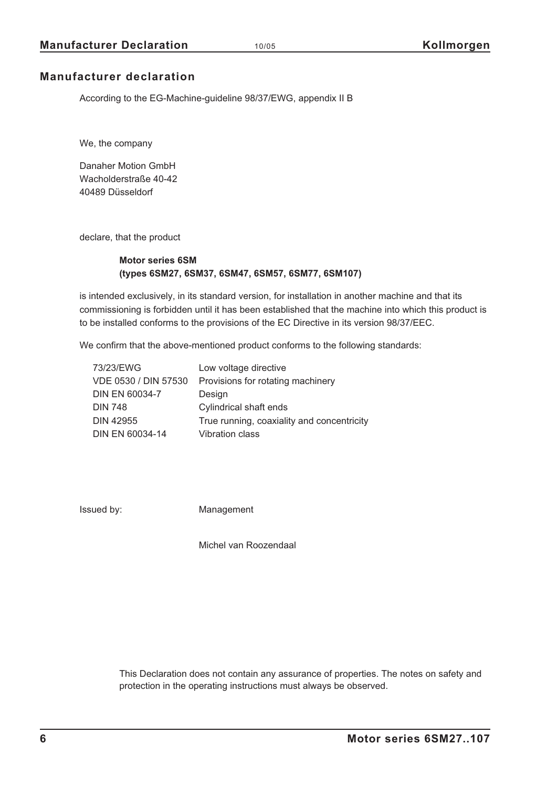### <span id="page-5-0"></span>**Manufacturer declaration**

According to the EG-Machine-guideline 98/37/EWG, appendix II B

We, the company

Danaher Motion GmbH Wacholderstraße 40-42 40489 Düsseldorf

declare, that the product

#### **Motor series 6SM (types 6SM27, 6SM37, 6SM47, 6SM57, 6SM77, 6SM107)**

is intended exclusively, in its standard version, for installation in another machine and that its commissioning is forbidden until it has been established that the machine into which this product is to be installed conforms to the provisions of the EC Directive in its version 98/37/EEC.

We confirm that the above-mentioned product conforms to the following standards:

| 73/23/EWG             | Low voltage directive                      |
|-----------------------|--------------------------------------------|
| VDE 0530 / DIN 57530  | Provisions for rotating machinery          |
| <b>DIN EN 60034-7</b> | Design                                     |
| <b>DIN 748</b>        | Cylindrical shaft ends                     |
| <b>DIN 42955</b>      | True running, coaxiality and concentricity |
| DIN EN 60034-14       | Vibration class                            |
|                       |                                            |

Issued by: Management

Michel van Roozendaal

This Declaration does not contain any assurance of properties. The notes on safety and protection in the operating instructions must always be observed.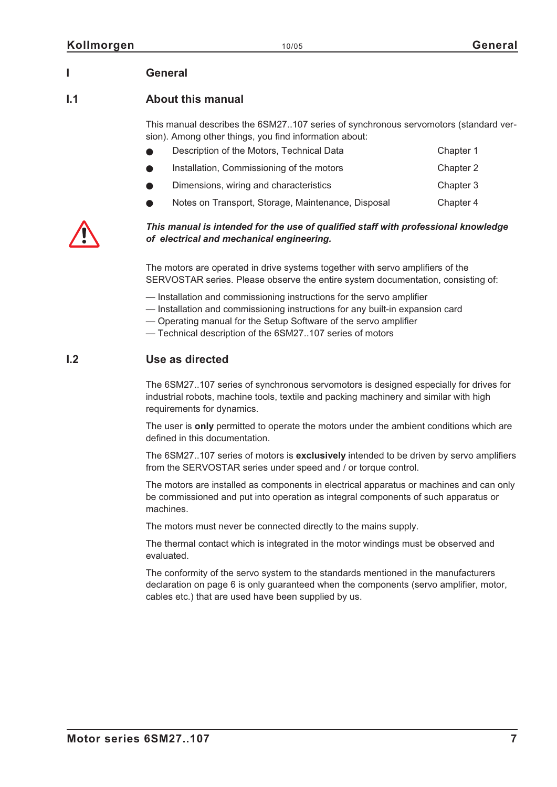### <span id="page-6-0"></span>**I General**

### **I.1 About this manual**

This manual describes the 6SM27..107 series of synchronous servomotors (standard version). Among other things, you find information about:

| Description of the Motors, Technical Data | Chapter 1 |
|-------------------------------------------|-----------|
| Installation, Commissioning of the motors | Chapter 2 |
| Dimensions, wiring and characteristics    | Chapter 3 |
|                                           |           |

 $\bullet$ Notes on Transport, Storage, Maintenance, Disposal Chapter 4



#### *This manual is intended for the use of qualified staff with professional knowledge of electrical and mechanical engineering.*

The motors are operated in drive systems together with servo amplifiers of the SERVOSTAR series. Please observe the entire system documentation, consisting of:

- Installation and commissioning instructions for the servo amplifier
- Installation and commissioning instructions for any built-in expansion card
- Operating manual for the Setup Software of the servo amplifier
- Technical description of the 6SM27..107 series of motors

### **I.2 Use as directed**

The 6SM27..107 series of synchronous servomotors is designed especially for drives for industrial robots, machine tools, textile and packing machinery and similar with high requirements for dynamics.

The user is **only** permitted to operate the motors under the ambient conditions which are defined in this documentation.

The 6SM27..107 series of motors is **exclusively** intended to be driven by servo amplifiers from the SERVOSTAR series under speed and / or torque control.

The motors are installed as components in electrical apparatus or machines and can only be commissioned and put into operation as integral components of such apparatus or machines.

The motors must never be connected directly to the mains supply.

The thermal contact which is integrated in the motor windings must be observed and evaluated.

The conformity of the servo system to the standards mentioned in the manufacturers declaration on page 6 is only guaranteed when the components (servo amplifier, motor, cables etc.) that are used have been supplied by us.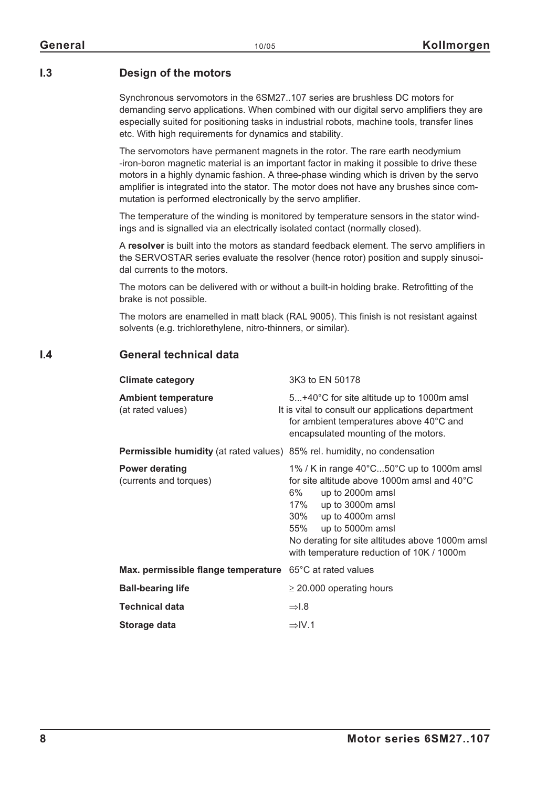### <span id="page-7-0"></span>**I.3 Design of the motors**

Synchronous servomotors in the 6SM27..107 series are brushless DC motors for demanding servo applications. When combined with our digital servo amplifiers they are especially suited for positioning tasks in industrial robots, machine tools, transfer lines etc. With high requirements for dynamics and stability.

The servomotors have permanent magnets in the rotor. The rare earth neodymium -iron-boron magnetic material is an important factor in making it possible to drive these motors in a highly dynamic fashion. A three-phase winding which is driven by the servo amplifier is integrated into the stator. The motor does not have any brushes since commutation is performed electronically by the servo amplifier.

The temperature of the winding is monitored by temperature sensors in the stator windings and is signalled via an electrically isolated contact (normally closed).

A **resolver** is built into the motors as standard feedback element. The servo amplifiers in the SERVOSTAR series evaluate the resolver (hence rotor) position and supply sinusoidal currents to the motors.

The motors can be delivered with or without a built-in holding brake. Retrofitting of the brake is not possible.

The motors are enamelled in matt black (RAL 9005). This finish is not resistant against solvents (e.g. trichlorethylene, nitro-thinners, or similar).

### **I.4 General technical data**

| <b>Climate category</b>                                                   | 3K3 to EN 50178                                                                                                                                                                                                                                                                            |  |  |
|---------------------------------------------------------------------------|--------------------------------------------------------------------------------------------------------------------------------------------------------------------------------------------------------------------------------------------------------------------------------------------|--|--|
| <b>Ambient temperature</b><br>(at rated values)                           | 5+40°C for site altitude up to 1000m amsl<br>It is vital to consult our applications department<br>for ambient temperatures above 40°C and<br>encapsulated mounting of the motors.                                                                                                         |  |  |
| Permissible humidity (at rated values) 85% rel. humidity, no condensation |                                                                                                                                                                                                                                                                                            |  |  |
| <b>Power derating</b><br>(currents and torques)                           | 1% / K in range 40°C50°C up to 1000m amsl<br>for site altitude above 1000m amsl and 40°C<br>6%<br>up to 2000m amsl<br>17% up to 3000m amsl<br>30% up to 4000m amsl<br>55% up to 5000m amsl<br>No derating for site altitudes above 1000m amsl<br>with temperature reduction of 10K / 1000m |  |  |
| Max. permissible flange temperature                                       | 65°C at rated values                                                                                                                                                                                                                                                                       |  |  |
| <b>Ball-bearing life</b>                                                  | $\geq$ 20.000 operating hours                                                                                                                                                                                                                                                              |  |  |
| <b>Technical data</b>                                                     | $\Rightarrow$ 1.8                                                                                                                                                                                                                                                                          |  |  |
| Storage data                                                              | $\Rightarrow$ N.1                                                                                                                                                                                                                                                                          |  |  |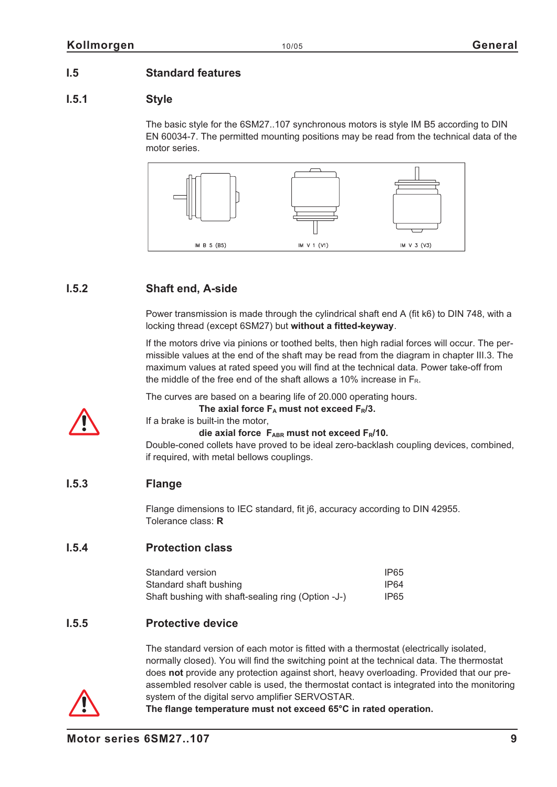### <span id="page-8-0"></span>**I.5 Standard features**

### **I.5.1 Style**

The basic style for the 6SM27..107 synchronous motors is style IM B5 according to DIN EN 60034-7. The permitted mounting positions may be read from the technical data of the motor series.



### **I.5.2 Shaft end, A-side**

Power transmission is made through the cylindrical shaft end A (fit k6) to DIN 748, with a locking thread (except 6SM27) but **without a fitted-keyway**.

If the motors drive via pinions or toothed belts, then high radial forces will occur. The permissible values at the end of the shaft may be read from the diagram in chapter [III.3.](#page-21-0) The maximum values at rated speed you will find at the technical data. Power take-off from the middle of the free end of the shaft allows a 10% increase in  $F_R$ .

The curves are based on a bearing life of 20.000 operating hours.



If a brake is built-in the motor,

#### die axial force FABR must not exceed FR/10.

Double-coned collets have proved to be ideal zero-backlash coupling devices, combined, if required, with metal bellows couplings.

### **I.5.3 Flange**

Flange dimensions to IEC standard, fit j6, accuracy according to DIN 42955. Tolerance class: **R**

### **I.5.4 Protection class**

| Standard version                                   | IP <sub>65</sub> |
|----------------------------------------------------|------------------|
| Standard shaft bushing                             | IP <sub>64</sub> |
| Shaft bushing with shaft-sealing ring (Option -J-) | IP <sub>65</sub> |

### **I.5.5 Protective device**

The standard version of each motor is fitted with a thermostat (electrically isolated, normally closed). You will find the switching point at the technical data. The thermostat does **not** provide any protection against short, heavy overloading. Provided that our preassembled resolver cable is used, the thermostat contact is integrated into the monitoring system of the digital servo amplifier SERVOSTAR.



**The flange temperature must not exceed 65°C in rated operation.**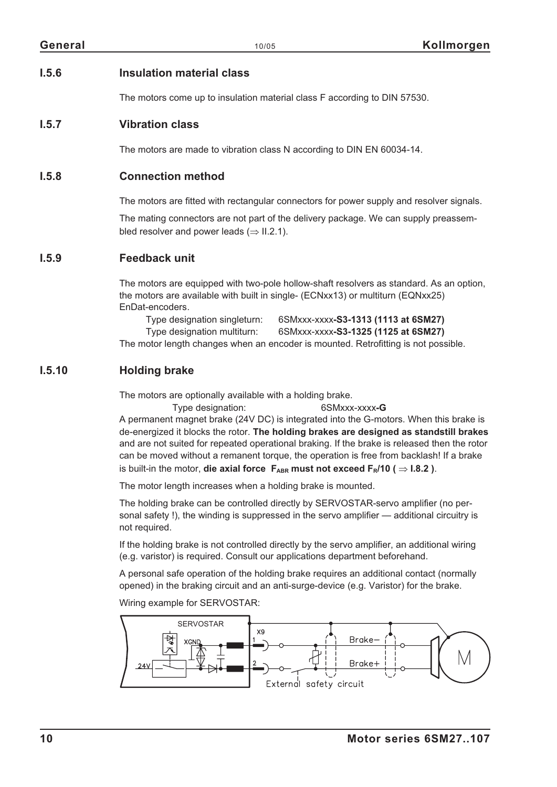### <span id="page-9-0"></span>**I.5.6 Insulation material class**

The motors come up to insulation material class F according to DIN 57530.

#### **I.5.7 Vibration class**

The motors are made to vibration class N according to DIN EN 60034-14.

#### **I.5.8 Connection method**

The motors are fitted with rectangular connectors for power supply and resolver signals.

The mating connectors are not part of the delivery package. We can supply preassembled resolver and power leads  $(\Rightarrow$  [II.2.1](#page-17-0)).

#### **I.5.9 Feedback unit**

The motors are equipped with two-pole hollow-shaft resolvers as standard. As an option, the motors are available with built in single- (ECNxx13) or multiturn (EQNxx25) EnDat-encoders.

Type designation singleturn: 6SMxxx-xxxx**-S3-1313 (1113 at 6SM27)** Type designation multiturn: 6SMxxx-xxxx**-S3-1325 (1125 at 6SM27)** The motor length changes when an encoder is mounted. Retrofitting is not possible.

### **I.5.10 Holding brake**

The motors are optionally available with a holding brake.

Type designation: 6SMxxx-xxxx**-G** A permanent magnet brake (24V DC) is integrated into the G-motors. When this brake is de-energized it blocks the rotor. **The holding brakes are designed as standstill brakes** and are not suited for repeated operational braking. If the brake is released then the rotor can be moved without a remanent torque, the operation is free from backlash! If a brake is built-in the motor, **die axial force**  $F_{ABR}$  **must not exceed**  $F_R/10$  **(** $\Rightarrow$  **1.8.2).** 

The motor length increases when a holding brake is mounted.

The holding brake can be controlled directly by SERVOSTAR-servo amplifier (no personal safety !), the winding is suppressed in the servo amplifier — additional circuitry is not required.

If the holding brake is not controlled directly by the servo amplifier, an additional wiring (e.g. varistor) is required. Consult our applications department beforehand.

A personal safe operation of the holding brake requires an additional contact (normally opened) in the braking circuit and an anti-surge-device (e.g. Varistor) for the brake.

Wiring example for SERVOSTAR:

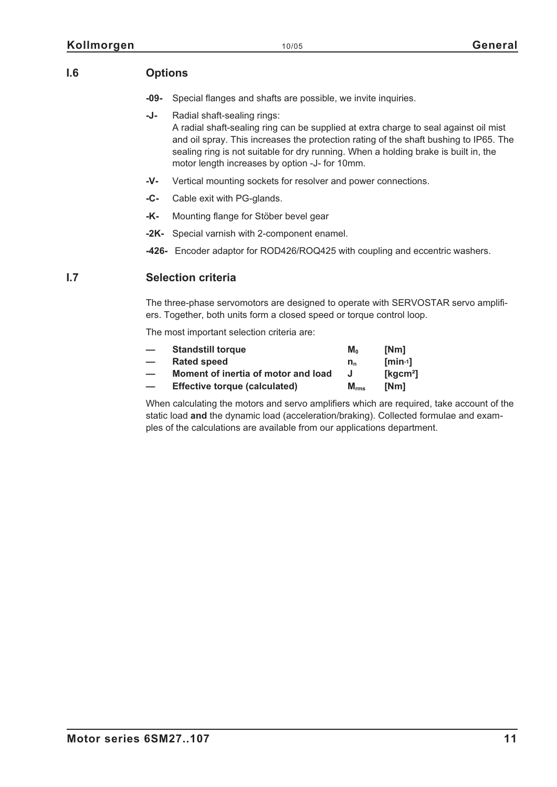### <span id="page-10-0"></span>**I.6 Options**

**-09-** Special flanges and shafts are possible, we invite inquiries.

- **-J-** Radial shaft-sealing rings: A radial shaft-sealing ring can be supplied at extra charge to seal against oil mist and oil spray. This increases the protection rating of the shaft bushing to IP65. The sealing ring is not suitable for dry running. When a holding brake is built in, the motor length increases by option -J- for 10mm.
- **-V-** Vertical mounting sockets for resolver and power connections.
- **-C-** Cable exit with PG-glands.
- **-K-** Mounting flange for Stöber bevel gear
- **-2K-** Special varnish with 2-component enamel.
- **-426-** Encoder adaptor for ROD426/ROQ425 with coupling and eccentric washers.

### **I.7 Selection criteria**

The three-phase servomotors are designed to operate with SERVOSTAR servo amplifiers. Together, both units form a closed speed or torque control loop.

The most important selection criteria are:

| <b>Standstill torque</b>             | M <sub>0</sub> | [Nm]        |
|--------------------------------------|----------------|-------------|
| <b>Rated speed</b>                   | $n_{n}$        | $[min-1]$   |
| Moment of inertia of motor and load  | J              | [ $kgcm2$ ] |
| <b>Effective torque (calculated)</b> | $M_{rms}$      | [Nm]        |
|                                      |                |             |

When calculating the motors and servo amplifiers which are required, take account of the static load **and** the dynamic load (acceleration/braking). Collected formulae and examples of the calculations are available from our applications department.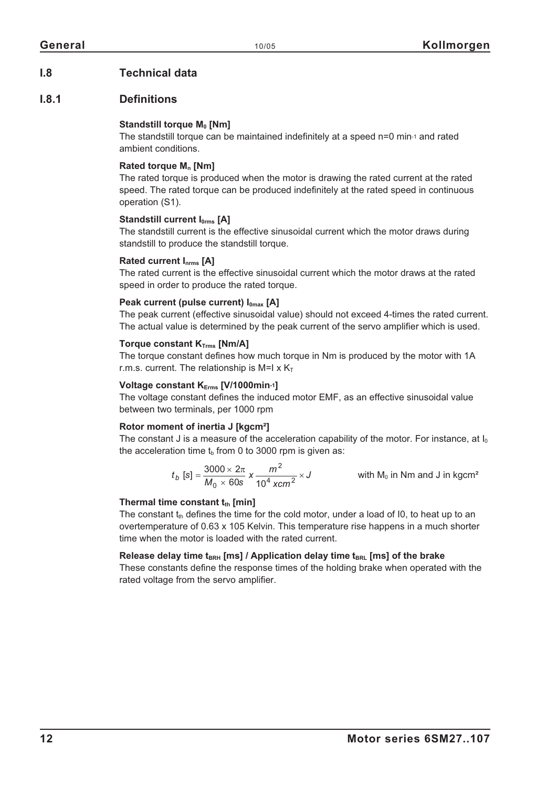### <span id="page-11-0"></span>**I.8 Technical data**

#### **I.8.1 Definitions**

#### **Standstill torque M<sub>0</sub> [Nm]**

The standstill torque can be maintained indefinitely at a speed n=0 min-1 and rated ambient conditions.

#### **Rated torque Mn [Nm]**

The rated torque is produced when the motor is drawing the rated current at the rated speed. The rated torque can be produced indefinitely at the rated speed in continuous operation (S1).

#### **Standstill current**  $I_{0\text{rms}}$  **[A]**

The standstill current is the effective sinusoidal current which the motor draws during standstill to produce the standstill torque.

#### **Rated current Inrms [A]**

The rated current is the effective sinusoidal current which the motor draws at the rated speed in order to produce the rated torque.

#### **Peak current (pulse current)**  $I_{0max}$  **[A]**

The peak current (effective sinusoidal value) should not exceed 4-times the rated current. The actual value is determined by the peak current of the servo amplifier which is used.

#### **Torque constant K<sub>Trms</sub> [Nm/A]**

The torque constant defines how much torque in Nm is produced by the motor with 1A r.m.s. current. The relationship is M=I x  $K<sub>T</sub>$ 

#### **Voltage constant KErms [V/1000min-1]**

The voltage constant defines the induced motor EMF, as an effective sinusoidal value between two terminals, per 1000 rpm

#### **Rotor moment of inertia J [kgcm²]**

The constant J is a measure of the acceleration capability of the motor. For instance, at  $I_0$ the acceleration time  $t<sub>b</sub>$  from 0 to 3000 rpm is given as:

$$
t_b \text{ [s]} = \frac{3000 \times 2\pi}{M_0 \times 60s} \times \frac{m^2}{10^4 \text{ xcm}^2} \times J \qquad \text{with } M_0 \text{ in Nm and J in kgcm}^2
$$

#### **Thermal time constant t<sub>th</sub> [min]**

The constant  $t_{th}$  defines the time for the cold motor, under a load of I0, to heat up to an overtemperature of 0.63 x 105 Kelvin. This temperature rise happens in a much shorter time when the motor is loaded with the rated current.

#### **Release delay time t<sub>BRH</sub> [ms] / Application delay time t<sub>BRL</sub> [ms] of the brake**

These constants define the response times of the holding brake when operated with the rated voltage from the servo amplifier.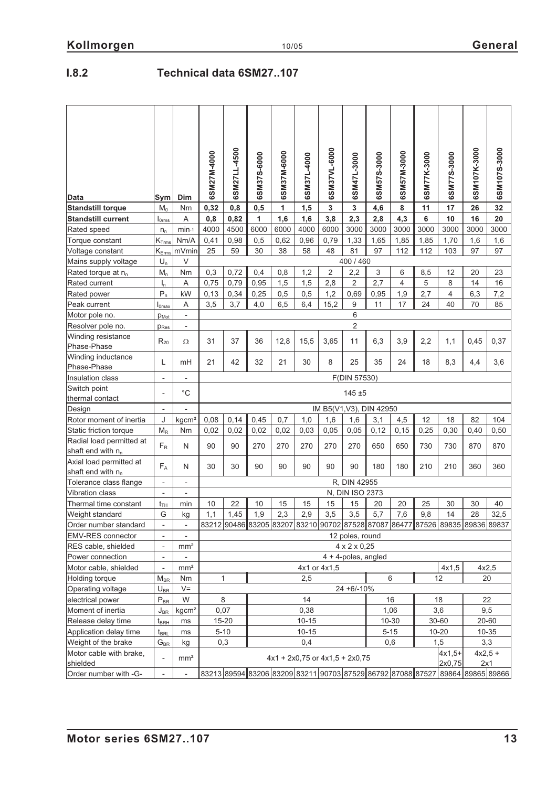### <span id="page-12-0"></span>**I.8.2 Technical data 6SM27..107**

| 6SM37VL-6000<br>6SM27LL-4500<br>6SM27M-4000<br>6SM37M-6000<br>6SM57M-3000<br>6SM37S-6000<br>6SM37L-4000<br>6SM57S-3000<br>6SM47L-3000<br><b>Data</b><br>Dim<br>Sym                                                 | 6SM77K-3000 | 6SM77S-3000         | 6SM107K-3000 | 6SM107S-3000            |
|--------------------------------------------------------------------------------------------------------------------------------------------------------------------------------------------------------------------|-------------|---------------------|--------------|-------------------------|
| 0,8<br>3<br>3<br>0,32<br>0,5<br>1<br>1,5<br>4,6<br>8<br>$M_0$<br>Nm<br><b>Standstill torque</b>                                                                                                                    | 11          | 17                  | 26           | 32                      |
| 2,3<br>4,3<br>Α<br>0,82<br>1<br>1,6<br>1,6<br>3,8<br>2,8<br>0,8<br><b>Standstill current</b><br>$I_{0\text{rms}}$                                                                                                  | 6           | 10                  | 16           | 20                      |
| 4000<br>4500<br>6000<br>6000<br>4000<br>6000<br>3000<br>3000<br>3000<br>$min-1$<br>Rated speed<br>$n_{n}$                                                                                                          | 3000        | 3000                | 3000         | 3000                    |
| Nm/A<br>0,41<br>0,98<br>0,5<br>0,62<br>0,96<br>0,79<br>1,33<br>1,65<br>1,85<br>Torque constant<br>K <sub>Trms</sub>                                                                                                | 1,85        | 1,70                | 1,6          | 1,6                     |
| 81<br>97<br>mVmin<br>25<br>59<br>30<br>38<br>58<br>48<br>112<br>Voltage constant<br>$K_{\text{Erms}}$                                                                                                              | 112         | 103                 | 97           | 97                      |
| 400 / 460<br>Mains supply voltage<br>$U_n$<br>V                                                                                                                                                                    |             |                     |              |                         |
| $\overline{c}$<br>2,2<br>3<br>$M_n$<br>Nm<br>0,3<br>0,72<br>0,4<br>1,2<br>6<br>Rated torque at n <sub>n</sub><br>0,8                                                                                               | 8,5         | 12                  | 20           | 23                      |
| 2,7<br>$\overline{4}$<br>0,75<br>0,95<br>1,5<br>2,8<br>2<br>Α<br>0,79<br>1,5<br>Rated current<br>$I_n$                                                                                                             | 5           | 8                   | 14           | 16                      |
| $P_n$<br>kW<br>1,2<br>0,69<br>1,9<br>0,13<br>0,34<br>0,25<br>0,5<br>0,5<br>0,95<br>Rated power                                                                                                                     | 2,7         | 4                   | 6,3          | 7,2                     |
| 15,2<br>A<br>3,5<br>6,5<br>9<br>11<br>3,7<br>4,0<br>6,4<br>17<br>Peak current<br><b>l</b> <sub>Omax</sub>                                                                                                          | 24          | 40                  | 70           | 85                      |
| 6<br>Motor pole no.<br>$\overline{\phantom{a}}$<br>$p_{\text{Mot}}$                                                                                                                                                |             |                     |              |                         |
| $\mathbf 2$<br>Resolver pole no.<br>$\overline{\phantom{a}}$<br>P <sub>Res</sub>                                                                                                                                   |             |                     |              |                         |
| Winding resistance<br>37<br>6,3<br>31<br>36<br>12,8<br>15,5<br>11<br>3,9<br>$R_{20}$<br>3,65<br>$\Omega$<br>Phase-Phase                                                                                            | 2,2         | 1,1                 | 0,45         | 0,37                    |
| Winding inductance<br>21<br>42<br>32<br>21<br>30<br>8<br>25<br>35<br>24<br>L<br>mH<br>Phase-Phase                                                                                                                  | 18          | 8,3                 | 4,4          | 3,6                     |
| Insulation class<br>F(DIN 57530)<br>$\overline{\phantom{0}}$<br>$\overline{\phantom{a}}$                                                                                                                           |             |                     |              |                         |
| Switch point<br>$^{\circ}{\rm C}$<br>$145 + 5$<br>$\overline{\phantom{0}}$<br>thermal contact                                                                                                                      |             |                     |              |                         |
| IM B5(V1,V3), DIN 42950<br>Design<br>$\frac{1}{2}$<br>$\overline{\phantom{a}}$                                                                                                                                     |             |                     |              |                         |
| 0,08<br>0,14<br>0,45<br>0,7<br>1,6<br>1,6<br>3,1<br>4,5<br>Rotor moment of inertia<br>J<br>1,0<br>kgcm <sup>2</sup>                                                                                                | 12          | 18                  | 82           | 104                     |
| $\mathsf{M}_{\mathsf{R}}$<br>0,02<br>0,02<br>0,02<br>0,02<br>0,03<br>0,05<br>0,05<br>0,12<br>0,15<br>Static friction torque<br>Nm                                                                                  | 0,25        | 0,30                | 0,40         | 0,50                    |
| Radial load permitted at                                                                                                                                                                                           |             |                     |              |                         |
| $F_R$<br>$\mathsf{N}$<br>90<br>90<br>270<br>270<br>270<br>270<br>270<br>650<br>650<br>shaft end with n <sub>n</sub>                                                                                                | 730         | 730                 | 870          | 870                     |
| Axial load permitted at<br>$F_A$<br>N<br>30<br>30<br>90<br>90<br>90<br>90<br>90<br>180<br>180                                                                                                                      | 210         | 210                 | 360          | 360                     |
| shaft end with n <sub>n</sub>                                                                                                                                                                                      |             |                     |              |                         |
| R, DIN 42955<br>Tolerance class flange<br>$\frac{1}{2}$<br>$\overline{\phantom{a}}$                                                                                                                                |             |                     |              |                         |
| N, DIN ISO 2373<br><b>Vibration class</b><br>$\overline{\phantom{a}}$<br>$\qquad \qquad \blacksquare$<br>22<br>15<br>10<br>10<br>15<br>20<br>Thermal time constant                                                 | 25          | 30                  | 30           | 40                      |
| 15<br>15<br>20<br>min<br>$t_{TH}$<br>1,45<br>1,9<br>2,3<br>3,5<br>3,5<br>5,7<br>7,6<br>G                                                                                                                           |             | 14                  | 28           |                         |
| 1,1<br>2,9<br>Weight standard<br>kg<br>$\overline{\phantom{a}}$                                                                                                                                                    | 9,8         |                     |              | 32,5                    |
| Order number standard<br>83212 90486  83205  83207  83210  90702  87528  87087  86477  87526  89835  89836  89837 <br>EMV-RES connector<br>12 poles, round<br>$\overline{\phantom{a}}$<br>$\overline{\phantom{0}}$ |             |                     |              |                         |
| RES cable, shielded<br>mm <sup>2</sup><br>4 x 2 x 0,25<br>$\overline{\phantom{0}}$                                                                                                                                 |             |                     |              |                         |
| Power connection<br>$4 + 4$ -poles, angled<br>$\overline{\phantom{0}}$                                                                                                                                             |             |                     |              |                         |
| Motor cable, shielded<br>mm <sup>2</sup><br>4x1 or 4x1,5                                                                                                                                                           |             |                     |              | 4x2,5                   |
| 1<br>6<br>Holding torque<br>$M_{BR}$<br>Nm<br>2,5                                                                                                                                                                  |             |                     |              |                         |
| $V =$<br>$U_{\underline{\text{BR}}}$<br>Operating voltage<br>24 +6/-10%                                                                                                                                            |             | 4x1,5               |              |                         |
| W<br>8<br>electrical power<br>$P_{BR}$<br>14<br>16                                                                                                                                                                 | 12          |                     |              | 20                      |
|                                                                                                                                                                                                                    |             |                     |              |                         |
|                                                                                                                                                                                                                    | 18          |                     |              | 22                      |
| kgcm <sup>2</sup><br>0,07<br>Moment of inertia<br>0,38<br>1,06<br>$J_{\sf BR}$<br>$10 - 15$                                                                                                                        | 3,6         |                     |              | 9,5                     |
| Release delay time<br>$15 - 20$<br>10-30<br>$t_{\sf BRH}$<br>ms<br>$10 - 15$                                                                                                                                       | 30-60       |                     |              | 20-60                   |
| Application delay time<br>$5 - 10$<br>$5 - 15$<br>$t_{BRL}$<br>ms<br>0,4<br>0,6                                                                                                                                    | $10 - 20$   |                     |              | $10 - 35$               |
| Weight of the brake<br>0,3<br>$G_{BR}$<br>kg<br>Motor cable with brake,<br>mm <sup>2</sup><br>$4x1 + 2x0,75$ or $4x1,5 + 2x0,75$<br>Ĭ.<br>shielded                                                                 | 1,5         | $4x1,5+$<br> 2x0,75 |              | 3,3<br>$4x2,5 +$<br>2x1 |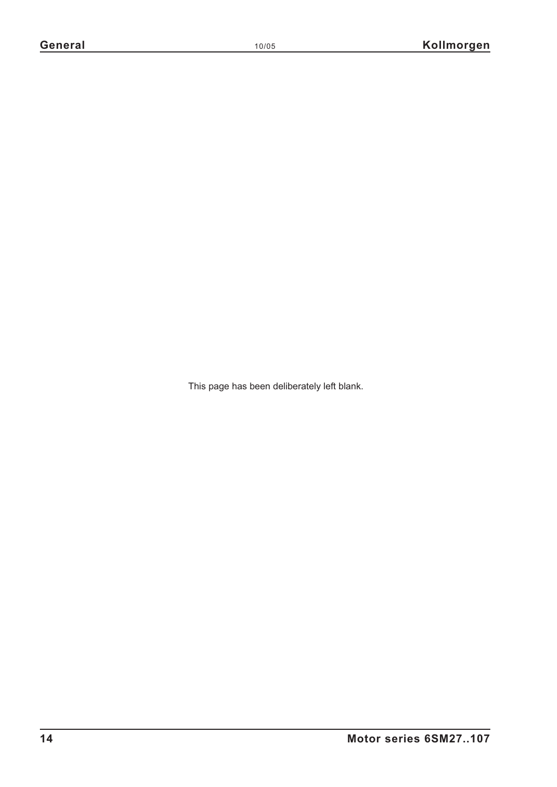This page has been deliberately left blank.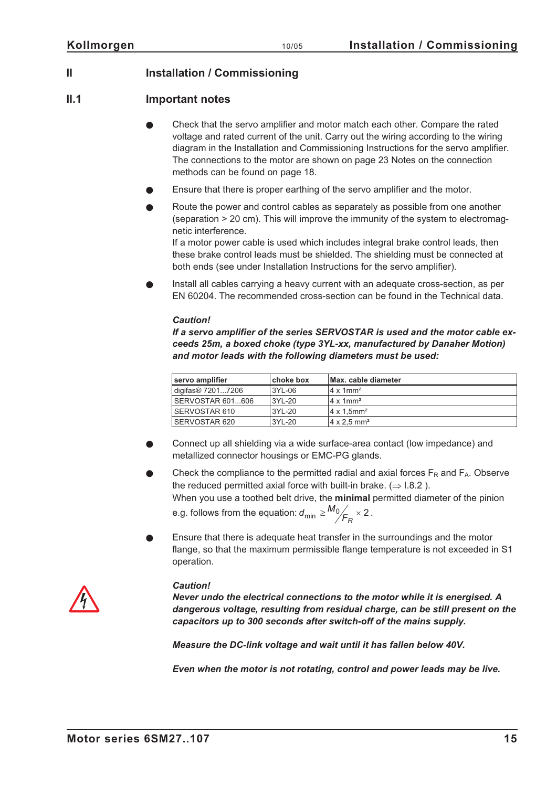### <span id="page-14-0"></span>**II** Installation / Commissioning

### **II.1 Important notes**

- $\bullet$  Check that the servo amplifier and motor match each other. Compare the rated voltage and rated current of the unit. Carry out the wiring according to the wiring diagram in the Installation and Commissioning Instructions for the servo amplifier. The connections to the motor are shown on page [23](#page-22-0) Notes on the connection methods can be found on page [18](#page-17-0).
- $\bullet$ Ensure that there is proper earthing of the servo amplifier and the motor.
- $\bullet$  Route the power and control cables as separately as possible from one another (separation > 20 cm). This will improve the immunity of the system to electromagnetic interference.

If a motor power cable is used which includes integral brake control leads, then these brake control leads must be shielded. The shielding must be connected at both ends (see under Installation Instructions for the servo amplifier).

 $\bullet$  Install all cables carrying a heavy current with an adequate cross-section, as per EN 60204. The recommended cross-section can be found in the Technical data.

#### *Caution!*

*If a servo amplifier of the series SERVOSTAR is used and the motor cable exceeds 25m, a boxed choke (type 3YL-xx, manufactured by Danaher Motion) and motor leads with the following diameters must be used:*

| ∣servo amplifier              | choke box | Max. cable diameter             |
|-------------------------------|-----------|---------------------------------|
| digifas <sup>®</sup> 72017206 | 13YL-06   | $4 \times 1$ mm <sup>2</sup>    |
| SERVOSTAR 601606              | 13YI -20  | $14 \times 1$ mm <sup>2</sup>   |
| SERVOSTAR 610                 | 3YL-20    | $4 \times 1.5$ mm <sup>2</sup>  |
| SERVOSTAR 620                 | 3YL-20    | $14 \times 2.5$ mm <sup>2</sup> |

- $\bullet$  Connect up all shielding via a wide surface-area contact (low impedance) and metallized connector housings or EMC-PG glands.
- $\bullet$ Check the compliance to the permitted radial and axial forces  $F_R$  and  $F_A$ . Observe the reduced permitted axial force with built-in brake.  $(\Rightarrow$  1.8.2). When you use a toothed belt drive, the **minimal** permitted diameter of the pinion e.g. follows from the equation:  $d_{\text{min}} \geq \frac{M_0}{F_R} \times 2$ .
- $\bullet$  Ensure that there is adequate heat transfer in the surroundings and the motor flange, so that the maximum permissible flange temperature is not exceeded in S1 operation.



#### *Caution!*

*Never undo the electrical connections to the motor while it is energised. A dangerous voltage, resulting from residual charge, can be still present on the capacitors up to 300 seconds after switch-off of the mains supply.*

*Measure the DC-link voltage and wait until it has fallen below 40V.*

*Even when the motor is not rotating, control and power leads may be live.*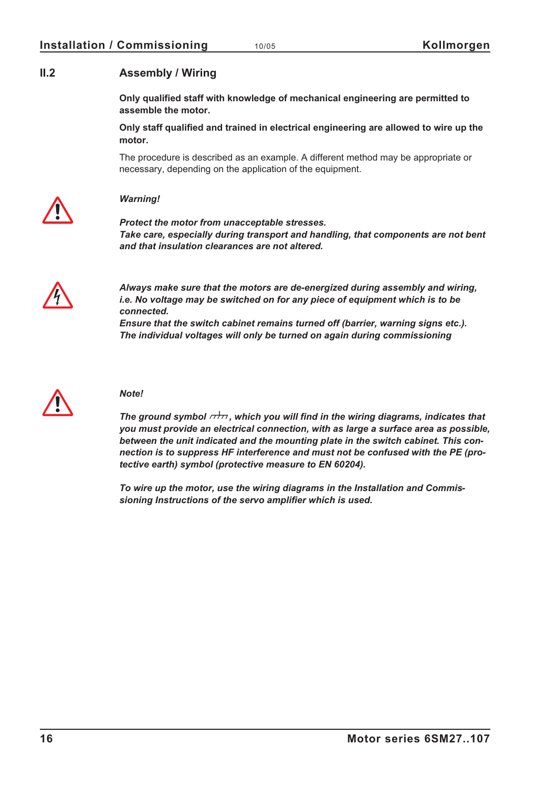### <span id="page-15-0"></span>**II.2 Assembly / Wiring**

**Only qualified staff with knowledge of mechanical engineering are permitted to assemble the motor.**

**Only staff qualified and trained in electrical engineering are allowed to wire up the motor.**

The procedure is described as an example. A different method may be appropriate or necessary, depending on the application of the equipment.



#### *Warning!*

*Protect the motor from unacceptable stresses. Take care, especially during transport and handling, that components are not bent and that insulation clearances are not altered.*



*Always make sure that the motors are de-energized during assembly and wiring, i.e. No voltage may be switched on for any piece of equipment which is to be connected.*

*Ensure that the switch cabinet remains turned off (barrier, warning signs etc.). The individual voltages will only be turned on again during commissioning*



#### *Note!*

*The ground symbol-, which you will find in the wiring diagrams, indicates that you must provide an electrical connection, with as large a surface area as possible, between the unit indicated and the mounting plate in the switch cabinet. This connection is to suppress HF interference and must not be confused with the PE (protective earth) symbol (protective measure to EN 60204).*

*To wire up the motor, use the wiring diagrams in the Installation and Commissioning Instructions of the servo amplifier which is used.*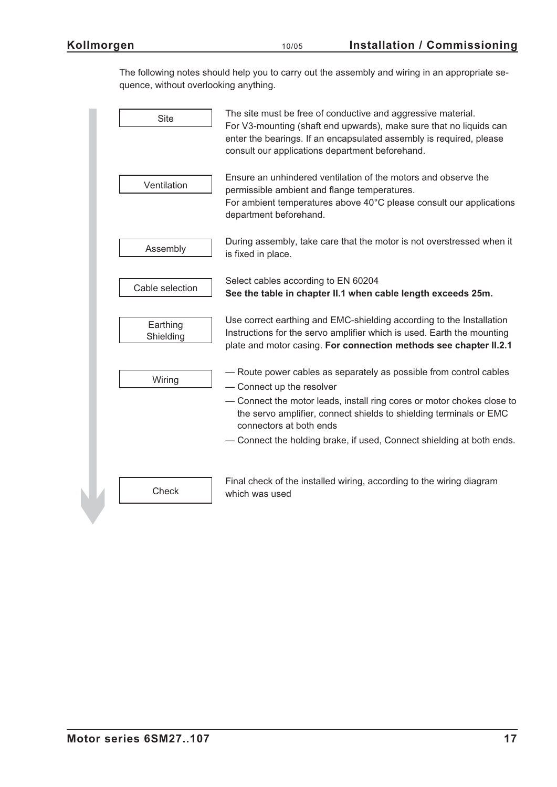<span id="page-16-0"></span>The following notes should help you to carry out the assembly and wiring in an appropriate sequence, without overlooking anything.

| <b>Site</b>           | The site must be free of conductive and aggressive material.<br>For V3-mounting (shaft end upwards), make sure that no liquids can<br>enter the bearings. If an encapsulated assembly is required, please<br>consult our applications department beforehand.                                                                                        |
|-----------------------|-----------------------------------------------------------------------------------------------------------------------------------------------------------------------------------------------------------------------------------------------------------------------------------------------------------------------------------------------------|
| Ventilation           | Ensure an unhindered ventilation of the motors and observe the<br>permissible ambient and flange temperatures.<br>For ambient temperatures above 40°C please consult our applications<br>department beforehand.                                                                                                                                     |
| Assembly              | During assembly, take care that the motor is not overstressed when it<br>is fixed in place.                                                                                                                                                                                                                                                         |
| Cable selection       | Select cables according to EN 60204<br>See the table in chapter II.1 when cable length exceeds 25m.                                                                                                                                                                                                                                                 |
| Earthing<br>Shielding | Use correct earthing and EMC-shielding according to the Installation<br>Instructions for the servo amplifier which is used. Earth the mounting<br>plate and motor casing. For connection methods see chapter II.2.1                                                                                                                                 |
| Wiring                | - Route power cables as separately as possible from control cables<br>- Connect up the resolver<br>- Connect the motor leads, install ring cores or motor chokes close to<br>the servo amplifier, connect shields to shielding terminals or EMC<br>connectors at both ends<br>- Connect the holding brake, if used, Connect shielding at both ends. |
| Check                 | Final check of the installed wiring, according to the wiring diagram<br>which was used                                                                                                                                                                                                                                                              |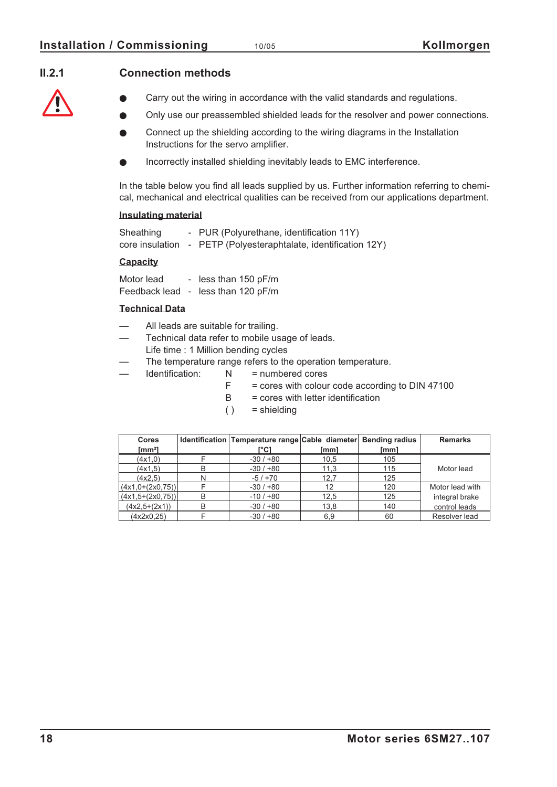### <span id="page-17-0"></span>**II.2.1 Connection methods**

- $\bullet$ Carry out the wiring in accordance with the valid standards and regulations.
- $\bullet$ Only use our preassembled shielded leads for the resolver and power connections.
- $\bullet$  Connect up the shielding according to the wiring diagrams in the Installation Instructions for the servo amplifier.
- $\bullet$ Incorrectly installed shielding inevitably leads to EMC interference.

In the table below you find all leads supplied by us. Further information referring to chemical, mechanical and electrical qualities can be received from our applications department.

#### **Insulating material**

| Sheathing | - PUR (Polyurethane, identification 11Y)                        |
|-----------|-----------------------------------------------------------------|
|           | core insulation - PETP (Polyesteraphtalate, identification 12Y) |

#### **Capacity**

| Motor lead    | - less than 150 pF/m |
|---------------|----------------------|
| Feedback lead | - less than 120 pF/m |

#### **Technical Data**

- All leads are suitable for trailing.
- Technical data refer to mobile usage of leads. Life time : 1 Million bending cycles
- The temperature range refers to the operation temperature.
	- $I$ dentification:  $N =$  numbered cores
		- $F = \text{cores with colour code according to DIN } 47100$
		- $B = \text{cores}$  with letter identification
		- $()$  = shielding

| <b>Cores</b>       | Identification   Temperature range   Cable diameter   Bending radius |             |             | <b>Remarks</b>  |
|--------------------|----------------------------------------------------------------------|-------------|-------------|-----------------|
| $\text{[mm$^2$]}$  | r°C1                                                                 | <u>[mm]</u> | <u>[mm]</u> |                 |
| (4x1,0)            | $-30/ +80$                                                           | 10,5        | 105         |                 |
| (4x1,5)            | $-30/100$                                                            | 11,3        | 115         | Motor lead      |
| (4x2,5)            | $-5/+70$                                                             | 12.7        | 125         |                 |
| $(4x1.0+(2x0.75))$ | $-30/ +80$                                                           | 12          | 120         | Motor lead with |
| $(4x1.5+(2x0.75))$ | $-10/100$                                                            | 12.5        | 125         | integral brake  |
| $(4x2.5+(2x1))$    | $-30/100$                                                            | 13,8        | 140         | control leads   |
| (4x2x0,25)         | $-30/ +80$                                                           | 6,9         | 60          | Resolver lead   |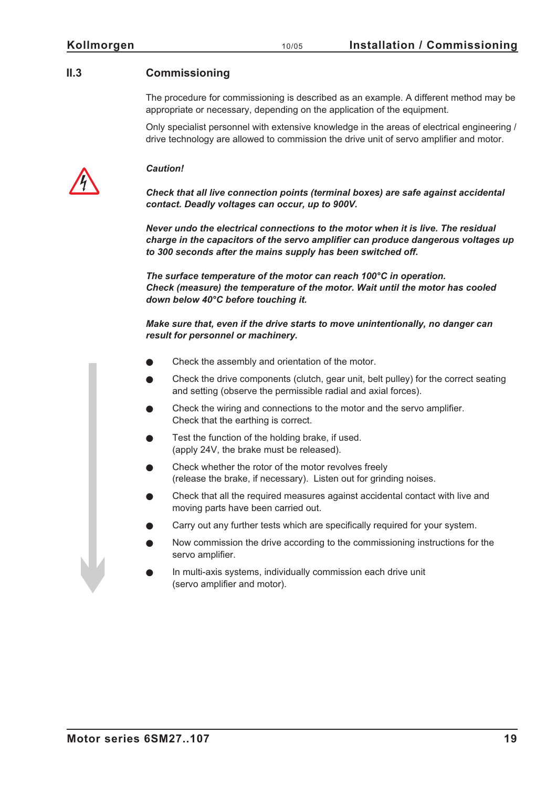### <span id="page-18-0"></span>**II.3 Commissioning**

The procedure for commissioning is described as an example. A different method may be appropriate or necessary, depending on the application of the equipment.

Only specialist personnel with extensive knowledge in the areas of electrical engineering / drive technology are allowed to commission the drive unit of servo amplifier and motor.



#### *Caution!*

*Check that all live connection points (terminal boxes) are safe against accidental contact. Deadly voltages can occur, up to 900V.*

*Never undo the electrical connections to the motor when it is live. The residual charge in the capacitors of the servo amplifier can produce dangerous voltages up to 300 seconds after the mains supply has been switched off.*

*The surface temperature of the motor can reach 100°C in operation. Check (measure) the temperature of the motor. Wait until the motor has cooled down below 40°C before touching it.*

*Make sure that, even if the drive starts to move unintentionally, no danger can result for personnel or machinery.*

- $\bullet$ Check the assembly and orientation of the motor.
- $\bullet$  Check the drive components (clutch, gear unit, belt pulley) for the correct seating and setting (observe the permissible radial and axial forces).
- $\bullet$  Check the wiring and connections to the motor and the servo amplifier. Check that the earthing is correct.
- $\bullet$  Test the function of the holding brake, if used. (apply 24V, the brake must be released).
- $\bullet$  Check whether the rotor of the motor revolves freely (release the brake, if necessary). Listen out for grinding noises.
- $\bullet$  Check that all the required measures against accidental contact with live and moving parts have been carried out.
- $\bullet$ Carry out any further tests which are specifically required for your system.
- $\bullet$  Now commission the drive according to the commissioning instructions for the servo amplifier.
- $\bullet$  In multi-axis systems, individually commission each drive unit (servo amplifier and motor).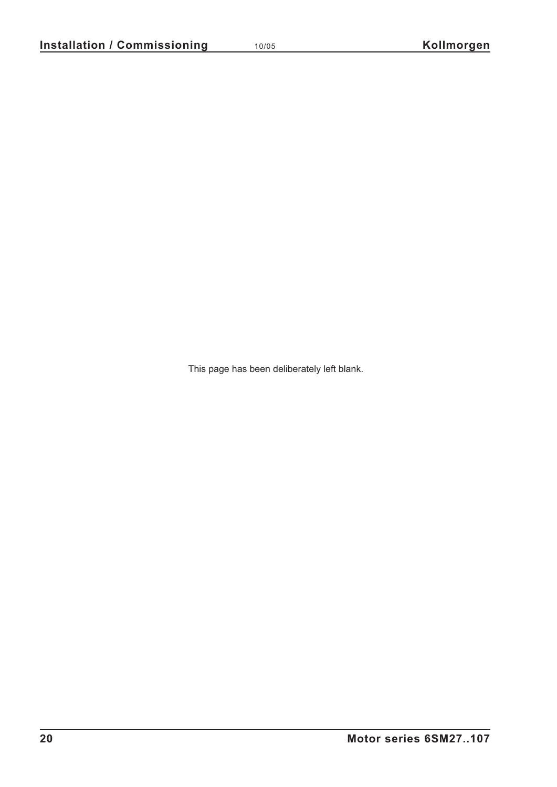This page has been deliberately left blank.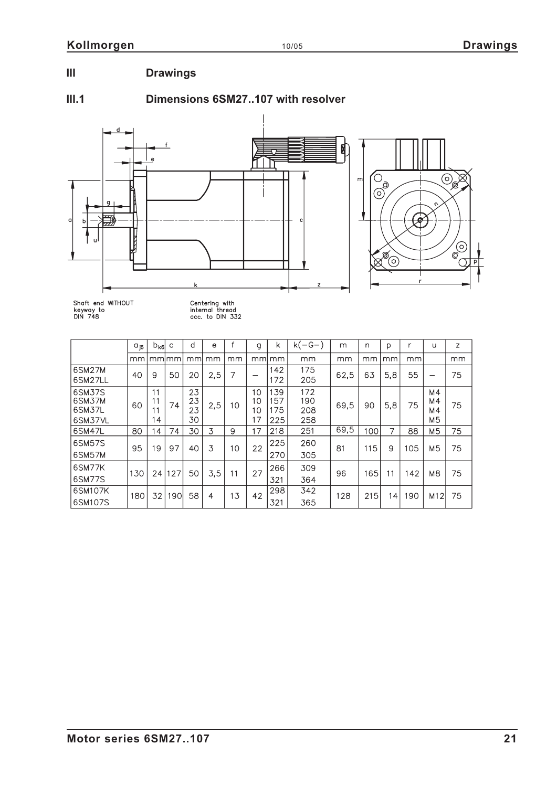### <span id="page-20-0"></span>**III Drawings**



### **III.1 Dimensions 6SM27..107 with resolver**





| Shaft end WITHOUT |  |
|-------------------|--|
| keyway to         |  |
| <b>DIN 748</b>    |  |

Centering with<br>internal thread<br>acc. to DIN 332

|                                       | $G_{i6}$ | $b_{k6}$             | $\mathsf{C}$ | d                    | e   |    | q                    | k                        | $k(-G-)$                 | m    | n   | p              |     | u                                | Z  |
|---------------------------------------|----------|----------------------|--------------|----------------------|-----|----|----------------------|--------------------------|--------------------------|------|-----|----------------|-----|----------------------------------|----|
|                                       | mm       |                      | mmlmm        | mml                  | mm  | mm | mml                  | l mm                     | mm                       | mm   | mm  | mm             | mm  |                                  | mm |
| 6SM27M<br>6SM27LL                     | 40       | 9                    | 50           | 20                   | 2,5 | 7  |                      | 142<br>172               | 175<br>205               | 62,5 | 63  | 5,8            | 55  |                                  | 75 |
| 6SM37S<br>6SM37M<br>6SM37L<br>6SM37VL | 60       | 11<br>11<br>11<br>14 | 74           | 23<br>23<br>23<br>30 | 2,5 | 10 | 10<br>10<br>10<br>17 | 139<br>157<br>175<br>225 | 172<br>190<br>208<br>258 | 69.5 | 90  | 5,8            | 75  | M4<br>M4<br>M4<br>M <sub>5</sub> | 75 |
| 6SM47L                                | 80       | 14                   | 74           | 30                   | 3   | 9  | 17                   | 218                      | 251                      | 69,5 | 100 | 7              | 88  | M <sub>5</sub>                   | 75 |
| 6SM57S<br>6SM57M                      | 95       | 19                   | 97           | 40                   | 3   | 10 | 22                   | 225<br>270               | 260<br>305               | 81   | 115 | 9              | 105 | M <sub>5</sub>                   | 75 |
| 6SM77K<br>6SM77S                      | 30       | 24                   | 127          | 50                   | 3,5 | 11 | 27                   | 266<br>321               | 309<br>364               | 96   | 165 | 11             | 42  | M <sub>8</sub>                   | 75 |
| 6SM107K<br>6SM107S                    | 180      | 32                   | 90           | 58                   | 4   | 13 | 42                   | 298<br>321               | 342<br>365               | 128  | 215 | $\overline{4}$ | 90  | M12                              | 75 |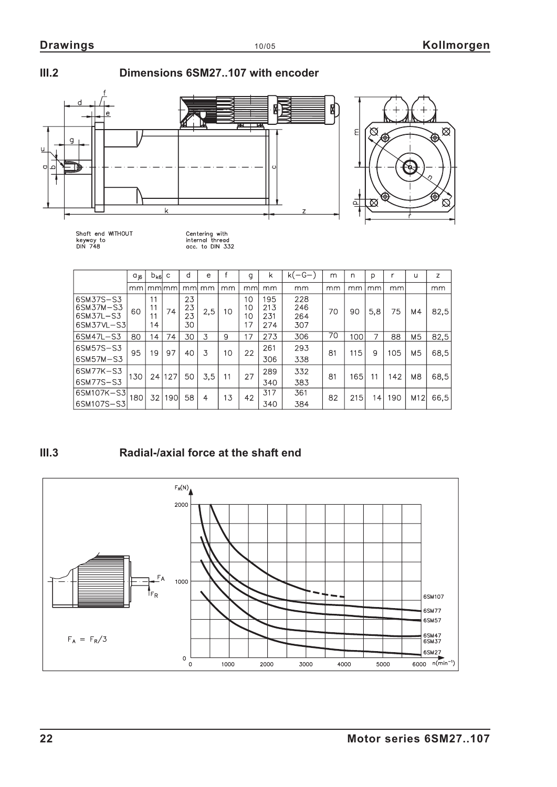<span id="page-21-0"></span>





|                                                   | $a_{i}$ | $b_{k6}$       | C      | d                    | e   |    | q                    | k                        | k(-G-1                   | m  | n   | D              |     | u              | Z    |
|---------------------------------------------------|---------|----------------|--------|----------------------|-----|----|----------------------|--------------------------|--------------------------|----|-----|----------------|-----|----------------|------|
|                                                   | mml     | mmlmm          |        | mml                  | mm  | mm | mm                   | mm                       | mm                       | mm | mm  | mm             | mm  |                | mm   |
| 6SM37S-S3<br>6SM37M-S3<br>6SM37L-S3<br>6SM37VL-S3 | 60      | 11<br>11<br>14 | 74     | 23<br>23<br>23<br>30 | 2,5 | 10 | 10<br>10<br>10<br>17 | 195<br>213<br>231<br>274 | 228<br>246<br>264<br>307 | 70 | 90  | 5.8            | 75  | M4             | 82,5 |
| 6SM47L-S3                                         | 80      | 14             | 74     | 30                   | 3   | 9  | 17                   | 273                      | 306                      | 70 | 100 | 7              | 88  | M <sub>5</sub> | 82,5 |
| 6SM57S-S3<br>6SM57M-S3                            | 95      | 19             | 97     | 40                   | 3   | 10 | 22                   | 261<br>306               | 293<br>338               | 81 | 115 | 9              | 105 | M <sub>5</sub> | 68.5 |
| 6SM77K-S3<br>6SM77S-S3                            | 130     |                | 24 127 | 50                   | 3.5 | 11 | 27                   | 289<br>340               | 332<br>383               | 81 | 165 | 11             | 142 | M <sub>8</sub> | 68.5 |
| 6SM107K-S3<br>6SM107S-S3                          | 180     | 32             | 190    | 58                   | 4   | 13 | 42                   | 317<br>340               | 361<br>384               | 82 | 215 | $\overline{4}$ | 90  | M12            | 66.5 |

### **III.3 Radial-/axial force at the shaft end**

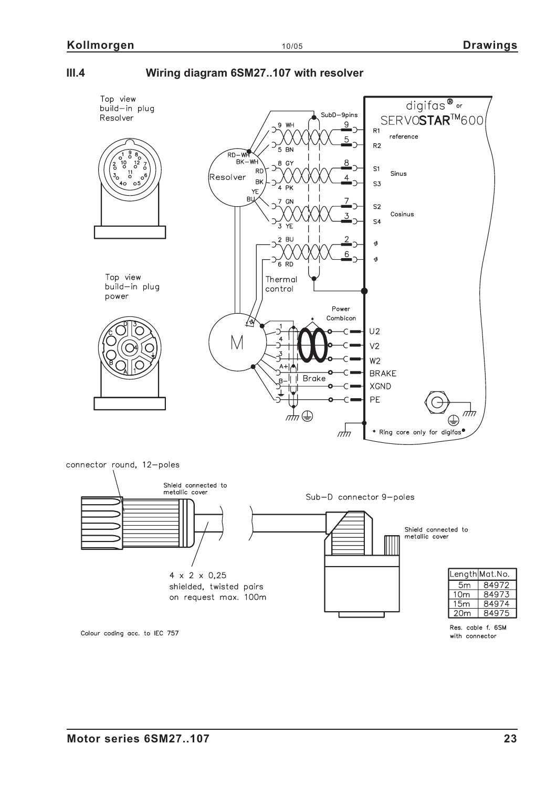

### <span id="page-22-0"></span>**III.4 Wiring diagram 6SM27..107 with resolver**



Colour coding acc. to IEC 757

with connector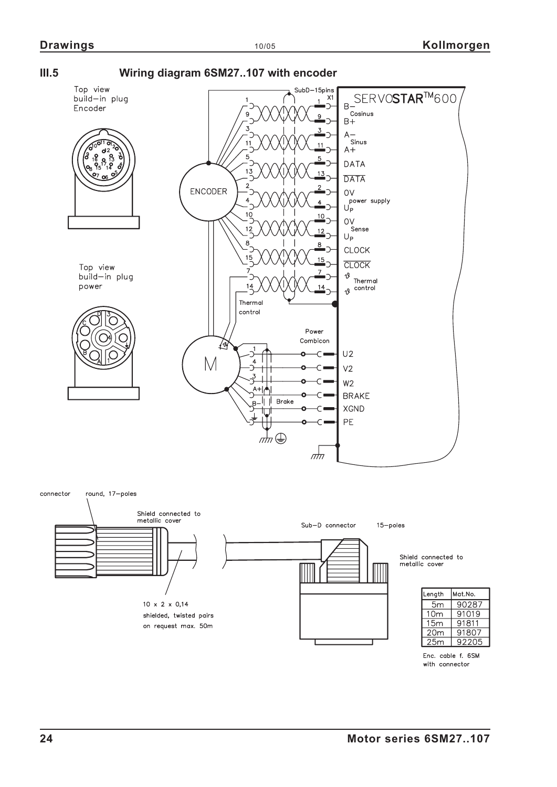<span id="page-23-0"></span>

with connector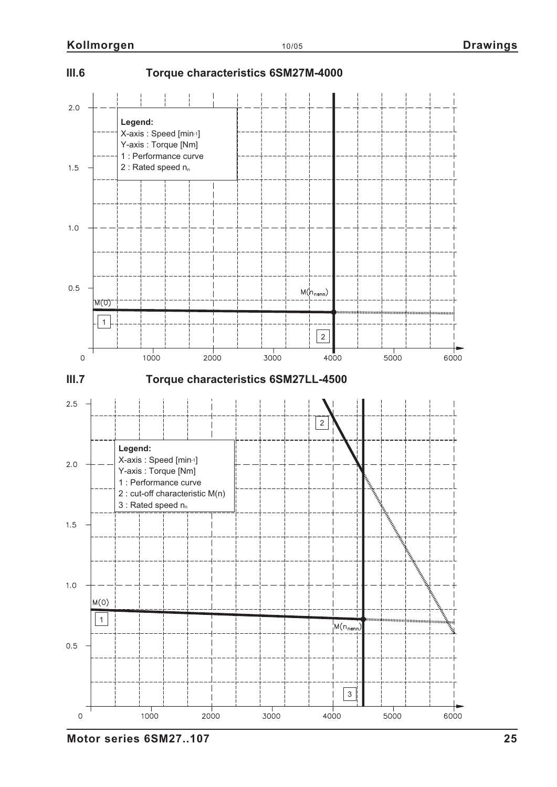<span id="page-24-0"></span>



**Motor series 6SM27..107 25**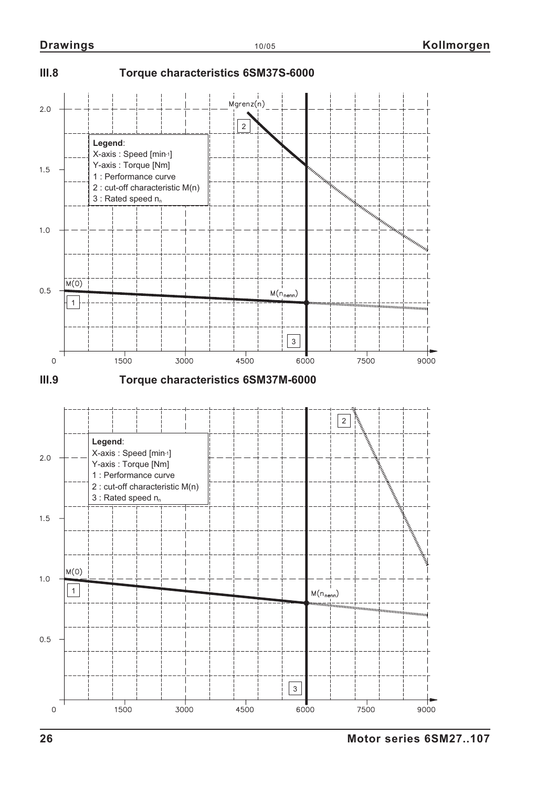<span id="page-25-0"></span>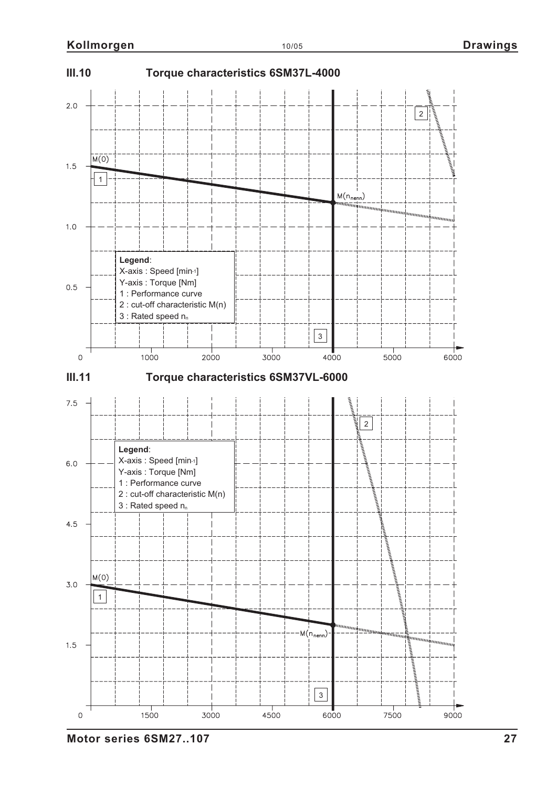<span id="page-26-0"></span>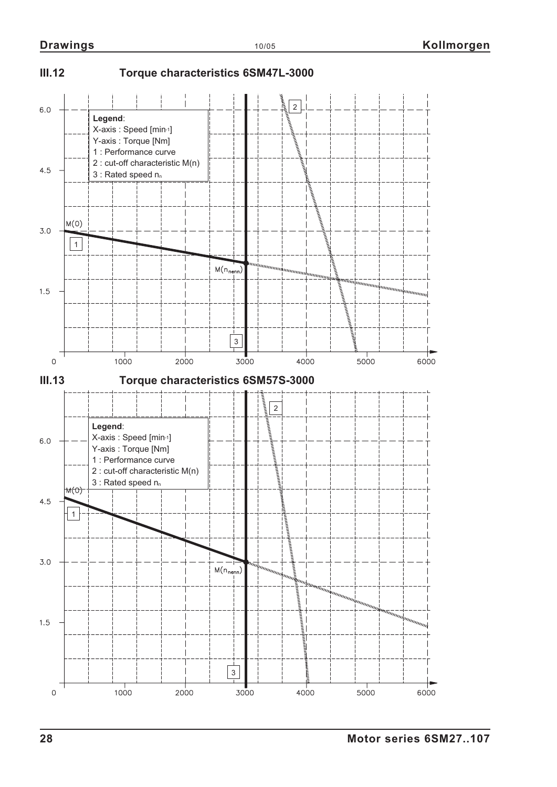

### <span id="page-27-0"></span>**III.12 Torque characteristics 6SM47L-3000**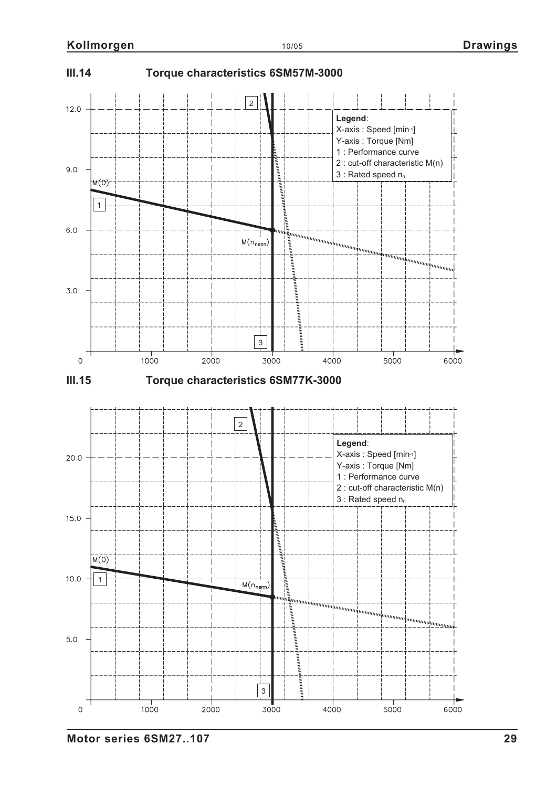<span id="page-28-0"></span>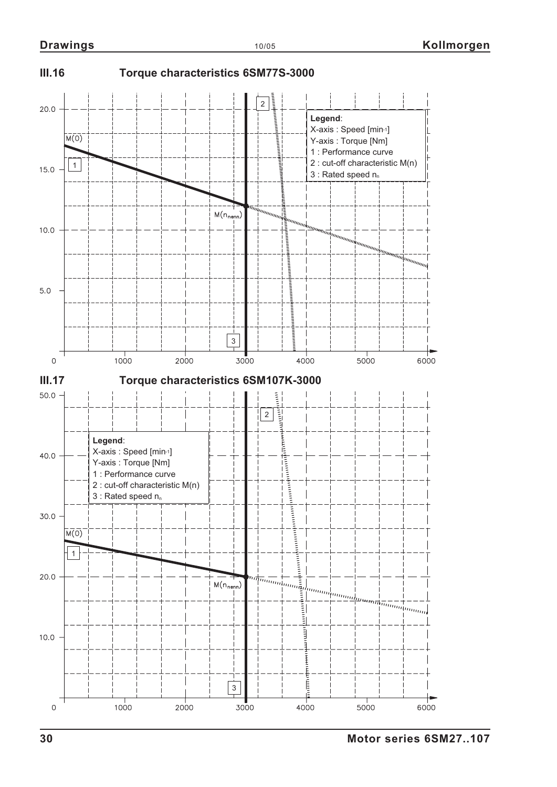<span id="page-29-0"></span>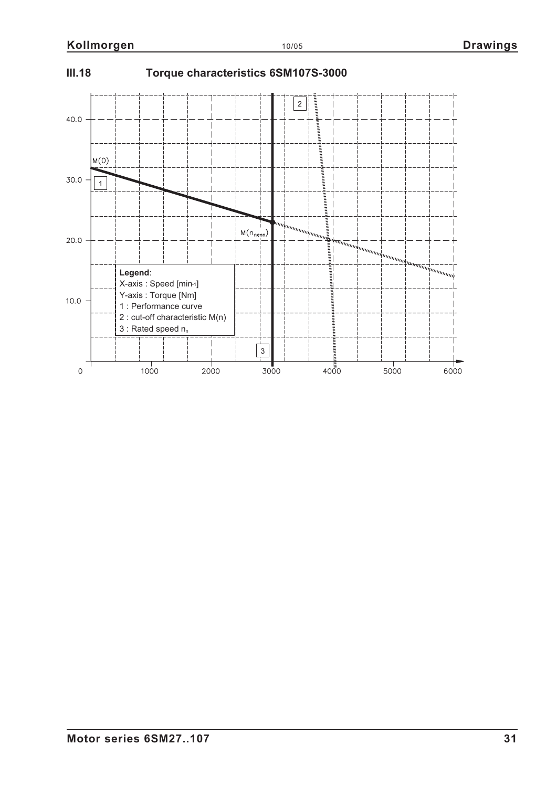

### <span id="page-30-0"></span>**III.18 Torque characteristics 6SM107S-3000**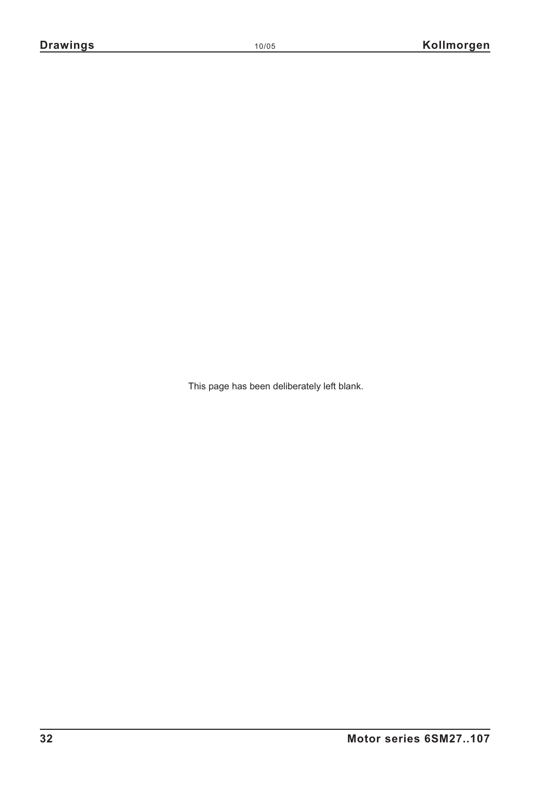This page has been deliberately left blank.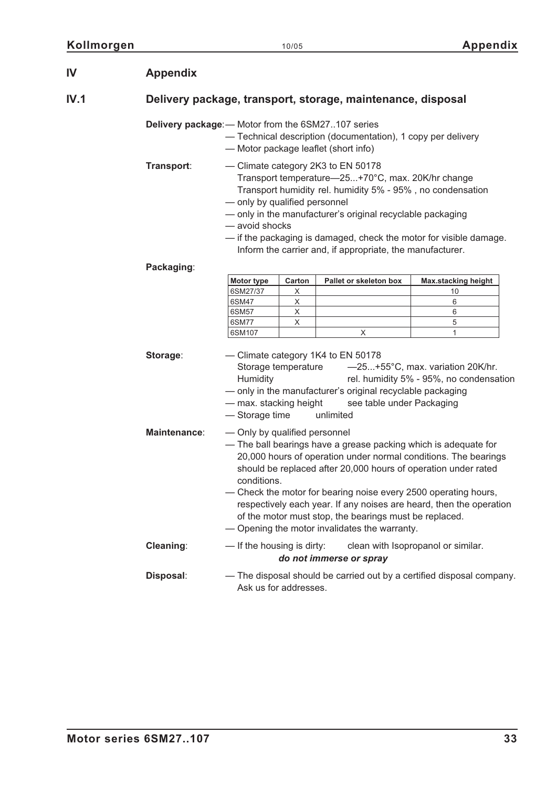<span id="page-32-0"></span>

| IV          | <b>Appendix</b>  |                                                                                                                                                                                                                                                                                                                                                                                                                                                                                                           |        |                                                                                                                                            |                                                                             |  |  |  |  |  |  |
|-------------|------------------|-----------------------------------------------------------------------------------------------------------------------------------------------------------------------------------------------------------------------------------------------------------------------------------------------------------------------------------------------------------------------------------------------------------------------------------------------------------------------------------------------------------|--------|--------------------------------------------------------------------------------------------------------------------------------------------|-----------------------------------------------------------------------------|--|--|--|--|--|--|
| <b>IV.1</b> |                  | Delivery package, transport, storage, maintenance, disposal                                                                                                                                                                                                                                                                                                                                                                                                                                               |        |                                                                                                                                            |                                                                             |  |  |  |  |  |  |
|             |                  | Delivery package: - Motor from the 6SM27107 series<br>- Technical description (documentation), 1 copy per delivery<br>- Motor package leaflet (short info)                                                                                                                                                                                                                                                                                                                                                |        |                                                                                                                                            |                                                                             |  |  |  |  |  |  |
|             | Transport:       | - Climate category 2K3 to EN 50178<br>Transport temperature-25+70°C, max. 20K/hr change<br>Transport humidity rel. humidity 5% - 95%, no condensation<br>- only by qualified personnel<br>- only in the manufacturer's original recyclable packaging<br>- avoid shocks<br>- if the packaging is damaged, check the motor for visible damage.<br>Inform the carrier and, if appropriate, the manufacturer.                                                                                                 |        |                                                                                                                                            |                                                                             |  |  |  |  |  |  |
|             | Packaging:       |                                                                                                                                                                                                                                                                                                                                                                                                                                                                                                           |        |                                                                                                                                            |                                                                             |  |  |  |  |  |  |
|             |                  | <b>Motor type</b>                                                                                                                                                                                                                                                                                                                                                                                                                                                                                         | Carton | Pallet or skeleton box                                                                                                                     | <b>Max.stacking height</b>                                                  |  |  |  |  |  |  |
|             |                  | 6SM27/37                                                                                                                                                                                                                                                                                                                                                                                                                                                                                                  | X      |                                                                                                                                            | 10                                                                          |  |  |  |  |  |  |
|             |                  | 6SM47                                                                                                                                                                                                                                                                                                                                                                                                                                                                                                     | X      |                                                                                                                                            | 6                                                                           |  |  |  |  |  |  |
|             |                  | 6SM57                                                                                                                                                                                                                                                                                                                                                                                                                                                                                                     | X      |                                                                                                                                            | 6                                                                           |  |  |  |  |  |  |
|             |                  | 6SM77                                                                                                                                                                                                                                                                                                                                                                                                                                                                                                     | X      |                                                                                                                                            | 5                                                                           |  |  |  |  |  |  |
|             |                  | 6SM107                                                                                                                                                                                                                                                                                                                                                                                                                                                                                                    |        | X                                                                                                                                          | 1                                                                           |  |  |  |  |  |  |
|             | Storage:         | Storage temperature<br>Humidity<br>- max. stacking height<br>- Storage time                                                                                                                                                                                                                                                                                                                                                                                                                               |        | - Climate category 1K4 to EN 50178<br>- only in the manufacturer's original recyclable packaging<br>see table under Packaging<br>unlimited | -25+55°C, max. variation 20K/hr.<br>rel. humidity 5% - 95%, no condensation |  |  |  |  |  |  |
|             | Maintenance:     | - Only by qualified personnel<br>- The ball bearings have a grease packing which is adequate for<br>20,000 hours of operation under normal conditions. The bearings<br>should be replaced after 20,000 hours of operation under rated<br>conditions.<br>- Check the motor for bearing noise every 2500 operating hours,<br>respectively each year. If any noises are heard, then the operation<br>of the motor must stop, the bearings must be replaced.<br>- Opening the motor invalidates the warranty. |        |                                                                                                                                            |                                                                             |  |  |  |  |  |  |
|             | <b>Cleaning:</b> | - If the housing is dirty:<br>clean with Isopropanol or similar.<br>do not immerse or spray                                                                                                                                                                                                                                                                                                                                                                                                               |        |                                                                                                                                            |                                                                             |  |  |  |  |  |  |
|             | Disposal:        | - The disposal should be carried out by a certified disposal company.<br>Ask us for addresses.                                                                                                                                                                                                                                                                                                                                                                                                            |        |                                                                                                                                            |                                                                             |  |  |  |  |  |  |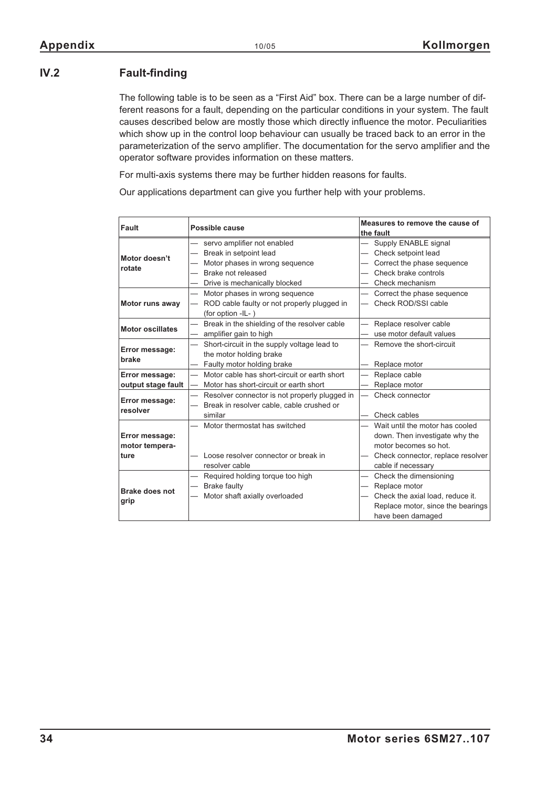### <span id="page-33-0"></span>**IV.2 Fault-finding**

The following table is to be seen as a "First Aid" box. There can be a large number of different reasons for a fault, depending on the particular conditions in your system. The fault causes described below are mostly those which directly influence the motor. Peculiarities which show up in the control loop behaviour can usually be traced back to an error in the parameterization of the servo amplifier. The documentation for the servo amplifier and the operator software provides information on these matters.

For multi-axis systems there may be further hidden reasons for faults.

Our applications department can give you further help with your problems.

| Fault                                    | Possible cause                                                                                                                                 | Measures to remove the cause of<br>the fault                                                                                                          |
|------------------------------------------|------------------------------------------------------------------------------------------------------------------------------------------------|-------------------------------------------------------------------------------------------------------------------------------------------------------|
| Motor doesn't<br>rotate                  | servo amplifier not enabled<br>Break in setpoint lead<br>Motor phases in wrong sequence<br>Brake not released<br>Drive is mechanically blocked | Supply ENABLE signal<br>Check setpoint lead<br>Correct the phase sequence<br>Check brake controls<br>Check mechanism                                  |
| Motor runs away                          | Motor phases in wrong sequence<br>ROD cable faulty or not properly plugged in<br>(for option -IL-)                                             | Correct the phase sequence<br>Check ROD/SSI cable                                                                                                     |
| <b>Motor oscillates</b>                  | Break in the shielding of the resolver cable<br>amplifier gain to high                                                                         | Replace resolver cable<br>use motor default values                                                                                                    |
| Error message:<br>brake                  | Short-circuit in the supply voltage lead to<br>the motor holding brake<br>Faulty motor holding brake                                           | Remove the short-circuit<br>Replace motor                                                                                                             |
| Error message:<br>output stage fault     | Motor cable has short-circuit or earth short<br>Motor has short-circuit or earth short                                                         | Replace cable<br>Replace motor                                                                                                                        |
| Error message:<br>resolver               | Resolver connector is not properly plugged in<br>Break in resolver cable, cable crushed or<br>similar                                          | Check connector<br>Check cables                                                                                                                       |
| Error message:<br>motor tempera-<br>ture | Motor thermostat has switched<br>Loose resolver connector or break in<br>resolver cable                                                        | Wait until the motor has cooled<br>down. Then investigate why the<br>motor becomes so hot.<br>Check connector, replace resolver<br>cable if necessary |
| <b>Brake does not</b><br>grip            | Required holding torque too high<br><b>Brake faulty</b><br>Motor shaft axially overloaded                                                      | Check the dimensioning<br>Replace motor<br>Check the axial load, reduce it.<br>Replace motor, since the bearings<br>have been damaged                 |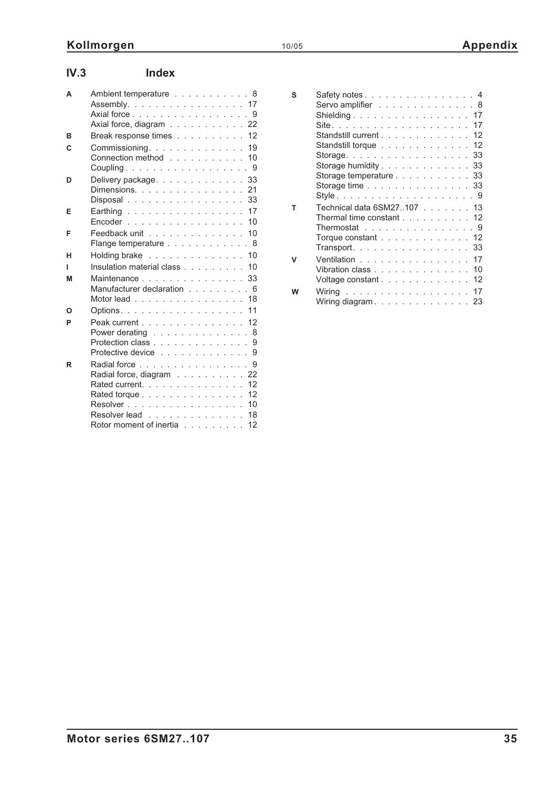## <span id="page-34-0"></span>**IV.3 Index**

| A | Ambient temperature 8        |    |
|---|------------------------------|----|
|   | Assembly. $\ldots$ 17        |    |
|   | Axial force 9                |    |
|   | Axial force, diagram 22      |    |
| в | Break response times 12      |    |
| C | Commissioning. 19            |    |
|   | Connection method 10         |    |
|   | Coupling. 9                  |    |
| D | Delivery package. 33         |    |
|   | Dimensions. 21               |    |
|   | Disposal 33                  |    |
| Е | Earthing 17                  |    |
|   | Encoder 10                   |    |
| F | Feedback unit 10             |    |
|   | Flange temperature 8         |    |
| н | Holding brake 10             |    |
| Н | Insulation material class 10 |    |
| М | Maintenance 33               |    |
|   | Manufacturer declaration 6   |    |
|   | Motor lead 18                |    |
| O | Options. 11                  |    |
| P | Peak current 12              |    |
|   | Power derating 8             |    |
|   | Protection class 9           |    |
|   | Protective device 9          |    |
| R | Radial force 9               |    |
|   | Radial force, diagram 22     |    |
|   | Rated current. 12            |    |
|   | Rated torque                 | 12 |
|   | Resolver                     | 10 |
|   | Resolver lead                | 18 |
|   | Rotor moment of inertia      | 12 |

| s | Safety notes 4                                  |  |
|---|-------------------------------------------------|--|
|   | Servo amplifier 8                               |  |
|   | Shielding 17                                    |  |
|   |                                                 |  |
|   | Standstill current 12                           |  |
|   | Standstill torque 12                            |  |
|   | Storage.<br>33                                  |  |
|   | Storage humidity. 33                            |  |
|   | Storage temperature 33                          |  |
|   | Storage time 33                                 |  |
|   |                                                 |  |
|   | Technical data 6SM27107 13                      |  |
|   | Thermal time constant 12                        |  |
|   | Thermostat $\ldots \ldots \ldots \ldots \ldots$ |  |
|   | Torque constant 12                              |  |
|   |                                                 |  |
|   | Transport. 33                                   |  |
|   | Ventilation 17                                  |  |
|   | Vibration class 10                              |  |
|   | Voltage constant 12                             |  |
| w | Wiring 17                                       |  |
|   | Wiring diagram 23                               |  |